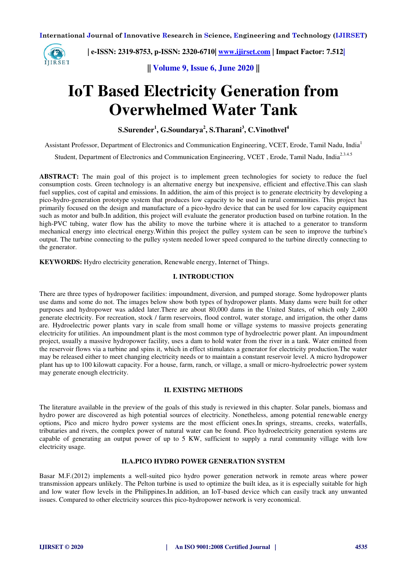

 **| e-ISSN: 2319-8753, p-ISSN: 2320-6710| [www.ijirset.com](http://www.ijirset.com/) | Impact Factor: 7.512|**

**|| Volume 9, Issue 6, June 2020 ||** 

# **IoT Based Electricity Generation from Overwhelmed Water Tank**

**S.Surender<sup>1</sup> , G.Soundarya<sup>2</sup> , S.Tharani<sup>3</sup> , C.Vinothvel<sup>4</sup>**

Assistant Professor, Department of Electronics and Communication Engineering, VCET, Erode, Tamil Nadu, India<sup>1</sup>

Student, Department of Electronics and Communication Engineering, VCET, Erode, Tamil Nadu, India<sup>2.3.4.5</sup>

ABSTRACT: The main goal of this project is to implement green technologies for society to reduce the fuel consumption costs. Green technology is an alternative energy but inexpensive, efficient and effective.This can slash fuel supplies, cost of capital and emissions. In addition, the aim of this project is to generate electricity by developing a pico-hydro-generation prototype system that produces low capacity to be used in rural communities. This project has primarily focused on the design and manufacture of a pico-hydro device that can be used for low capacity equipment such as motor and bulb.In addition, this project will evaluate the generator production based on turbine rotation. In the high-PVC tubing, water flow has the ability to move the turbine where it is attached to a generator to transform mechanical energy into electrical energy.Within this project the pulley system can be seen to improve the turbine's output. The turbine connecting to the pulley system needed lower speed compared to the turbine directly connecting to the generator.

**KEYWORDS:** Hydro electricity generation, Renewable energy, Internet of Things.

## **I. INTRODUCTION**

There are three types of hydropower facilities: impoundment, diversion, and pumped storage. Some hydropower plants use dams and some do not. The images below show both types of hydropower plants. Many dams were built for other purposes and hydropower was added later.There are about 80,000 dams in the United States, of which only 2,400 generate electricity. For recreation, stock / farm reservoirs, flood control, water storage, and irrigation, the other dams are. Hydroelectric power plants vary in scale from small home or village systems to massive projects generating electricity for utilities. An impoundment plant is the most common type of hydroelectric power plant. An impoundment project, usually a massive hydropower facility, uses a dam to hold water from the river in a tank. Water emitted from the reservoir flows via a turbine and spins it, which in effect stimulates a generator for electricity production.The water may be released either to meet changing electricity needs or to maintain a constant reservoir level. A micro hydropower plant has up to 100 kilowatt capacity. For a house, farm, ranch, or village, a small or micro-hydroelectric power system may generate enough electricity.

## **II. EXISTING METHODS**

The literature available in the preview of the goals of this study is reviewed in this chapter. Solar panels, biomass and hydro power are discovered as high potential sources of electricity. Nonetheless, among potential renewable energy options, Pico and micro hydro power systems are the most efficient ones.In springs, streams, creeks, waterfalls, tributaries and rivers, the complex power of natural water can be found. Pico hydroelectricity generation systems are capable of generating an output power of up to 5 KW, sufficient to supply a rural community village with low electricity usage.

## **II.A.PICO HYDRO POWER GENERATION SYSTEM**

Basar M.F.(2012) implements a well-suited pico hydro power generation network in remote areas where power transmission appears unlikely. The Pelton turbine is used to optimize the built idea, as it is especially suitable for high and low water flow levels in the Philippines.In addition, an IoT-based device which can easily track any unwanted issues. Compared to other electricity sources this pico-hydropower network is very economical.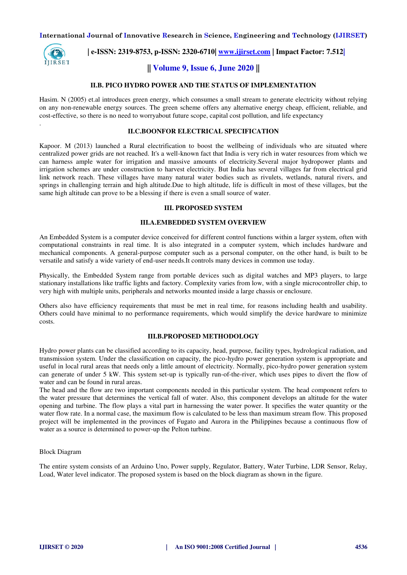

.

 **| e-ISSN: 2319-8753, p-ISSN: 2320-6710| [www.ijirset.com](http://www.ijirset.com/) | Impact Factor: 7.512|**

# **|| Volume 9, Issue 6, June 2020 ||**

## **II.B. PICO HYDRO POWER AND THE STATUS OF IMPLEMENTATION**

Hasim. N (2005) et.al introduces green energy, which consumes a small stream to generate electricity without relying on any non-renewable energy sources. The green scheme offers any alternative energy cheap, efficient, reliable, and cost-effective, so there is no need to worryabout future scope, capital cost pollution, and life expectancy

## **II.C.BOONFOR ELECTRICAL SPECIFICATION**

Kapoor. M (2013) launched a Rural electrification to boost the wellbeing of individuals who are situated where centralized power grids are not reached. It's a well-known fact that India is very rich in water resources from which we can harness ample water for irrigation and massive amounts of electricity.Several major hydropower plants and irrigation schemes are under construction to harvest electricity. But India has several villages far from electrical grid link network reach. These villages have many natural water bodies such as rivulets, wetlands, natural rivers, and springs in challenging terrain and high altitude.Due to high altitude, life is difficult in most of these villages, but the same high altitude can prove to be a blessing if there is even a small source of water.

## **III. PROPOSED SYSTEM**

## **III.A.EMBEDDED SYSTEM OVERVIEW**

An Embedded System is a computer device conceived for different control functions within a larger system, often with computational constraints in real time. It is also integrated in a computer system, which includes hardware and mechanical components. A general-purpose computer such as a personal computer, on the other hand, is built to be versatile and satisfy a wide variety of end-user needs.It controls many devices in common use today.

Physically, the Embedded System range from portable devices such as digital watches and MP3 players, to large stationary installations like traffic lights and factory. Complexity varies from low, with a single microcontroller chip, to very high with multiple units, peripherals and networks mounted inside a large chassis or enclosure.

Others also have efficiency requirements that must be met in real time, for reasons including health and usability. Others could have minimal to no performance requirements, which would simplify the device hardware to minimize costs.

## **III.B.PROPOSED METHODOLOGY**

Hydro power plants can be classified according to its capacity, head, purpose, facility types, hydrological radiation, and transmission system. Under the classification on capacity, the pico-hydro power generation system is appropriate and useful in local rural areas that needs only a little amount of electricity. Normally, pico-hydro power generation system can generate of under 5 kW. This system set-up is typically run-of-the-river, which uses pipes to divert the flow of water and can be found in rural areas.

The head and the flow are two important components needed in this particular system. The head component refers to the water pressure that determines the vertical fall of water. Also, this component develops an altitude for the water opening and turbine. The flow plays a vital part in harnessing the water power. It specifies the water quantity or the water flow rate. In a normal case, the maximum flow is calculated to be less than maximum stream flow. This proposed project will be implemented in the provinces of Fugato and Aurora in the Philippines because a continuous flow of water as a source is determined to power-up the Pelton turbine.

## Block Diagram

The entire system consists of an Arduino Uno, Power supply, Regulator, Battery, Water Turbine, LDR Sensor, Relay, Load, Water level indicator. The proposed system is based on the block diagram as shown in the figure.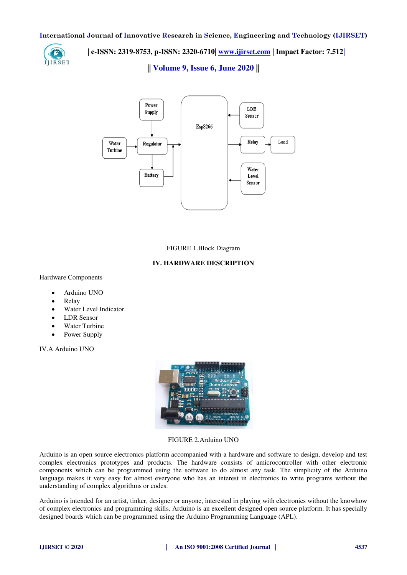

 **| e-ISSN: 2319-8753, p-ISSN: 2320-6710| [www.ijirset.com](http://www.ijirset.com/) | Impact Factor: 7.512|**

**|| Volume 9, Issue 6, June 2020 ||** 



FIGURE 1.Block Diagram

## **IV. HARDWARE DESCRIPTION**

Hardware Components

- Arduino UNO
- Relay
- Water Level Indicator
- LDR Sensor
- Water Turbine
- Power Supply

IV.A Arduino UNO



FIGURE 2.Arduino UNO

Arduino is an open source electronics platform accompanied with a hardware and software to design, develop and test complex electronics prototypes and products. The hardware consists of amicrocontroller with other electronic components which can be programmed using the software to do almost any task. The simplicity of the Arduino language makes it very easy for almost everyone who has an interest in electronics to write programs without the understanding of complex algorithms or codes.

Arduino is intended for an artist, tinker, designer or anyone, interested in playing with electronics without the knowhow of complex electronics and programming skills. Arduino is an excellent designed open source platform. It has specially designed boards which can be programmed using the Arduino Programming Language (APL).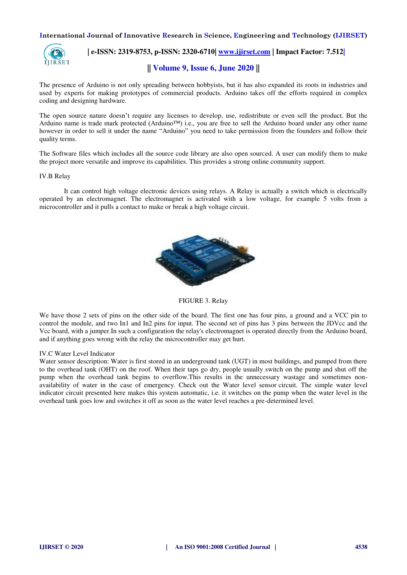

 **| e-ISSN: 2319-8753, p-ISSN: 2320-6710| [www.ijirset.com](http://www.ijirset.com/) | Impact Factor: 7.512|**

# **|| Volume 9, Issue 6, June 2020 ||**

The presence of Arduino is not only spreading between hobbyists, but it has also expanded its roots in industries and used by experts for making prototypes of commercial products. Arduino takes off the efforts required in complex coding and designing hardware.

The open source nature doesn't require any licenses to develop, use, redistribute or even sell the product. But the Arduino name is trade mark protected (Arduino™) i.e., you are free to sell the Arduino board under any other name however in order to sell it under the name "Arduino" you need to take permission from the founders and follow their quality terms.

The Software files which includes all the source code library are also open sourced. A user can modify them to make the project more versatile and improve its capabilities. This provides a strong online community support.

## IV.B Relay

It can control high voltage electronic devices using relays. A Relay is actually a switch which is electrically operated by an electromagnet. The electromagnet is activated with a low voltage, for example 5 volts from a microcontroller and it pulls a contact to make or break a high voltage circuit.



FIGURE 3. Relay

We have those 2 sets of pins on the other side of the board. The first one has four pins, a ground and a VCC pin to control the module, and two In1 and In2 pins for input. The second set of pins has 3 pins between the JDVcc and the Vcc board, with a jumper.In such a configuration the relay's electromagnet is operated directly from the Arduino board, and if anything goes wrong with the relay the microcontroller may get hurt.

#### IV.C Water Level Indicator

Water sensor description: Water is first stored in an underground tank (UGT) in most buildings, and pumped from there to the overhead tank (OHT) on the roof. When their taps go dry, people usually switch on the pump and shut off the pump when the overhead tank begins to overflow.This results in the unnecessary wastage and sometimes nonavailability of water in the case of emergency. Check out the Water level sensor circuit. The simple water level indicator circuit presented here makes this system automatic, i.e. it switches on the pump when the water level in the overhead tank goes low and switches it off as soon as the water level reaches a pre-determined level.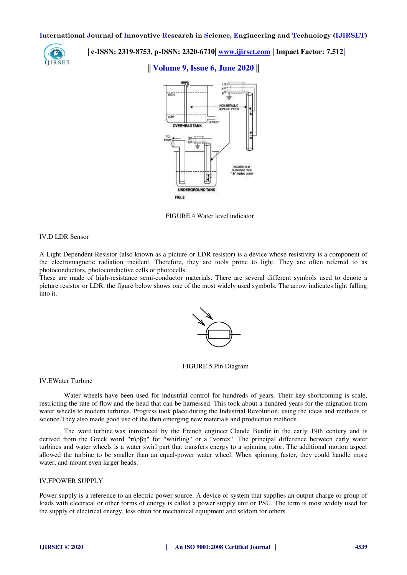

 **| e-ISSN: 2319-8753, p-ISSN: 2320-6710| [www.ijirset.com](http://www.ijirset.com/) | Impact Factor: 7.512|**

## **|| Volume 9, Issue 6, June 2020 ||**



FIGURE 4.Water level indicator

## IV.D LDR Sensor

A Light Dependent Resistor (also known as a picture or LDR resistor) is a device whose resistivity is a component of the electromagnetic radiation incident. Therefore, they are tools prone to light. They are often referred to as photoconductors, photoconductive cells or photocells.

These are made of high-resistance semi-conductor materials. There are several different symbols used to denote a picture resistor or LDR, the figure below shows one of the most widely used symbols. The arrow indicates light falling into it.



## FIGURE 5.Pin Diagram

#### IV.EWater Turbine

Water wheels have been used for industrial control for hundreds of years. Their key shortcoming is scale, restricting the rate of flow and the head that can be harnessed. This took about a hundred years for the migration from water wheels to modern turbines. Progress took place during the Industrial Revolution, using the ideas and methods of science.They also made good use of the then emerging new materials and production methods.

The word [turbine w](https://en.wikipedia.org/wiki/Turbine)as introduced by the French engineer [Claude Burdin](https://en.wikipedia.org/wiki/Claude_Burdin) in the early 19th century and is derived from the Greek word "τύρβη" for "whirling" or a "vortex". The principal difference between early water turbines and water wheels is a water swirl part that transfers energy to a spinning rotor. The additional motion aspect allowed the turbine to be smaller than an equal-power water wheel. When spinning faster, they could handle more water, and mount even larger heads.

## IV.FPOWER SUPPLY

Power supply is a reference to an electric power source. A device or system that supplies an output charge or group of loads with electrical or other forms of energy is called a power supply unit or PSU. The term is most widely used for the supply of electrical energy, less often for mechanical equipment and seldom for others.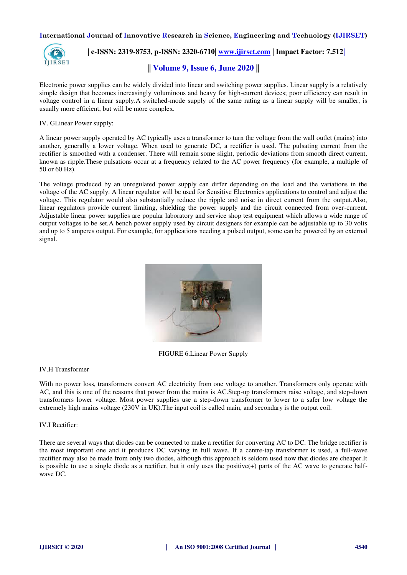

 **| e-ISSN: 2319-8753, p-ISSN: 2320-6710| [www.ijirset.com](http://www.ijirset.com/) | Impact Factor: 7.512|**

# **|| Volume 9, Issue 6, June 2020 ||**

Electronic power supplies can be widely divided into linear and switching power supplies. Linear supply is a relatively simple design that becomes increasingly voluminous and heavy for high-current devices; poor efficiency can result in voltage control in a linear supply.A switched-mode supply of the same rating as a linear supply will be smaller, is usually more efficient, but will be more complex.

IV. GLinear Power supply:

A linear power supply operated by AC typically uses a transformer to turn the voltage from the wall outlet (mains) into another, generally a lower voltage. When used to generate DC, a rectifier is used. The pulsating current from the rectifier is smoothed with a condenser. There will remain some slight, periodic deviations from smooth direct current, known as ripple.These pulsations occur at a frequency related to the AC power frequency (for example, a multiple of 50 or 60 Hz).

The voltage produced by an unregulated power supply can differ depending on the load and the variations in the voltage of the AC supply. A linear regulator will be used for Sensitive Electronics applications to control and adjust the voltage. This regulator would also substantially reduce the ripple and noise in direct current from the output.Also, linear regulators provide current limiting, shielding the power supply and the circuit connected from over-current. Adjustable linear power supplies are popular laboratory and service shop test equipment which allows a wide range of output voltages to be set.A bench power supply used by circuit designers for example can be adjustable up to 30 volts and up to 5 amperes output. For example, for applications needing a pulsed output, some can be powered by an external signal.



FIGURE 6.Linear Power Supply

## IV.H Transformer

With no power loss, transformers convert AC electricity from one voltage to another. Transformers only operate with AC, and this is one of the reasons that power from the mains is AC.Step-up transformers raise voltage, and step-down transformers lower voltage. Most power supplies use a step-down transformer to lower to a safer low voltage the extremely high mains voltage (230V in UK).The input coil is called main, and secondary is the output coil.

IV.I Rectifier:

There are several ways that diodes can be connected to make a rectifier for converting AC to DC. The bridge rectifier is the most important one and it produces DC varying in full wave. If a centre-tap transformer is used, a full-wave rectifier may also be made from only two diodes, although this approach is seldom used now that diodes are cheaper.It is possible to use a single diode as a rectifier, but it only uses the positive(+) parts of the AC wave to generate halfwave DC.